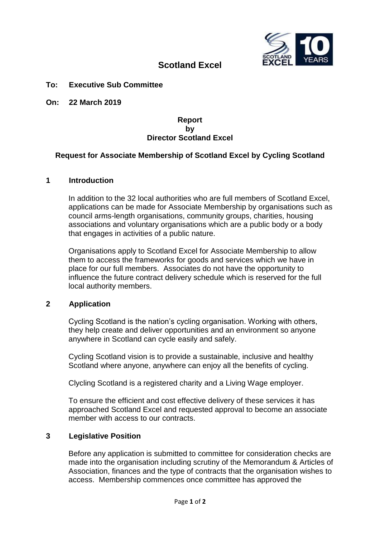

# **Scotland Excel**

### **To: Executive Sub Committee**

**On: 22 March 2019**

### **Report by Director Scotland Excel**

## **Request for Associate Membership of Scotland Excel by Cycling Scotland**

#### **1 Introduction**

In addition to the 32 local authorities who are full members of Scotland Excel, applications can be made for Associate Membership by organisations such as council arms-length organisations, community groups, charities, housing associations and voluntary organisations which are a public body or a body that engages in activities of a public nature.

Organisations apply to Scotland Excel for Associate Membership to allow them to access the frameworks for goods and services which we have in place for our full members. Associates do not have the opportunity to influence the future contract delivery schedule which is reserved for the full local authority members.

#### **2 Application**

Cycling Scotland is the nation's cycling organisation. Working with others, they help create and deliver opportunities and an environment so anyone anywhere in Scotland can cycle easily and safely.

Cycling Scotland vision is to provide a sustainable, inclusive and healthy Scotland where anyone, anywhere can enjoy all the benefits of cycling.

Clycling Scotland is a registered charity and a Living Wage employer.

To ensure the efficient and cost effective delivery of these services it has approached Scotland Excel and requested approval to become an associate member with access to our contracts.

#### **3 Legislative Position**

Before any application is submitted to committee for consideration checks are made into the organisation including scrutiny of the Memorandum & Articles of Association, finances and the type of contracts that the organisation wishes to access. Membership commences once committee has approved the